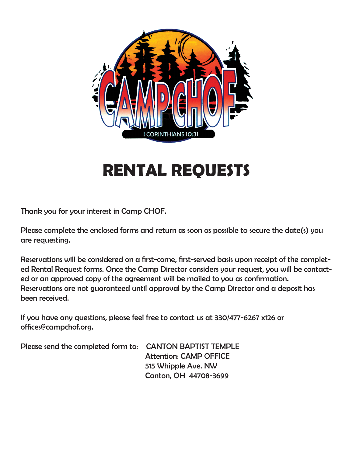

# **RENTAL REQUESTS**

Thank you for your interest in Camp CHOF.

Please complete the enclosed forms and return as soon as possible to secure the date(s) you are requesting.

Reservations will be considered on a first-come, first-served basis upon receipt of the completed Rental Request forms. Once the Camp Director considers your request, you will be contacted or an approved copy of the agreement will be mailed to you as confirmation. Reservations are not guaranteed until approval by the Camp Director and a deposit has been received.

If you have any questions, please feel free to contact us at 330/477-6267 x126 or offices@campchof.org.

Please send the completed form to: CANTON BAPTIST TEMPLE Attention: CAMP OFFICE 515 Whipple Ave. NW Canton, OH 44708-3699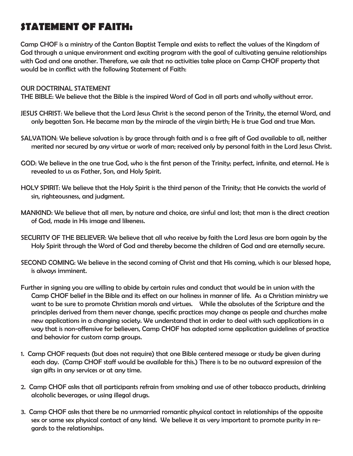## **STATEMENT OF FAITH:**

Camp CHOF is a ministry of the Canton Baptist Temple and exists to reflect the values of the Kingdom of God through a unique environment and exciting program with the goal of cultivating genuine relationships with God and one another. Therefore, we ask that no activities take place on Camp CHOF property that would be in conflict with the following Statement of Faith:

#### OUR DOCTRINAL STATEMENT

THE BIBLE: We believe that the Bible is the inspired Word of God in all parts and wholly without error.

- JESUS CHRIST: We believe that the Lord Jesus Christ is the second person of the Trinity, the eternal Word, and only begotten Son. He became man by the miracle of the virgin birth; He is true God and true Man.
- SALVATION: We believe salvation is by grace through faith and is a free gift of God available to all, neither merited nor secured by any virtue or work of man; received only by personal faith in the Lord Jesus Christ.
- GOD: We believe in the one true God, who is the first person of the Trinity; perfect, infinite, and eternal. He is revealed to us as Father, Son, and Holy Spirit.
- HOLY SPIRIT: We believe that the Holy Spirit is the third person of the Trinity; that He convicts the world of sin, righteousness, and judgment.
- MANKIND: We believe that all men, by nature and choice, are sinful and lost; that man is the direct creation of God, made in His image and likeness.
- SECURITY OF THE BELIEVER: We believe that all who receive by faith the Lord Jesus are born again by the Holy Spirit through the Word of God and thereby become the children of God and are eternally secure.
- SECOND COMING: We believe in the second coming of Christ and that His coming, which is our blessed hope, is always imminent.
- Further in signing you are willing to abide by certain rules and conduct that would be in union with the Camp CHOF belief in the Bible and its effect on our holiness in manner of life. As a Christian ministry we want to be sure to promote Christian morals and virtues. While the absolutes of the Scripture and the principles derived from them never change, specific practices may change as people and churches make new applications in a changing society. We understand that in order to deal with such applications in a way that is non-offensive for believers, Camp CHOF has adopted some application guidelines of practice and behavior for custom camp groups.
- 1. Camp CHOF requests (but does not require) that one Bible centered message or study be given during each day. (Camp CHOF staff would be available for this.) There is to be no outward expression of the sign gifts in any services or at any time.
- 2. Camp CHOF asks that all participants refrain from smoking and use of other tobacco products, drinking alcoholic beverages, or using illegal drugs.
- 3. Camp CHOF asks that there be no unmarried romantic physical contact in relationships of the opposite sex or same sex physical contact of any kind. We believe it as very important to promote purity in regards to the relationships.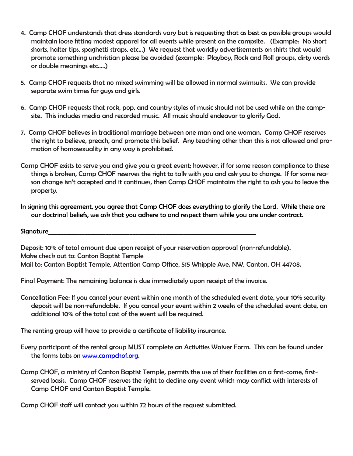- 4. Camp CHOF understands that dress standards vary but is requesting that as best as possible groups would maintain loose fitting modest apparel for all events while present on the campsite. (Example: No short shorts, halter tips, spaghetti straps, etc…) We request that worldly advertisements on shirts that would promote something unchristian please be avoided (example: Playboy, Rock and Roll groups, dirty words or double meanings etc…..)
- 5. Camp CHOF requests that no mixed swimming will be allowed in normal swimsuits. We can provide separate swim times for guys and girls.
- 6. Camp CHOF requests that rock, pop, and country styles of music should not be used while on the campsite. This includes media and recorded music. All music should endeavor to glorify God.
- 7. Camp CHOF believes in traditional marriage between one man and one woman. Camp CHOF reserves the right to believe, preach, and promote this belief. Any teaching other than this is not allowed and promotion of homosexuality in any way is prohibited.
- Camp CHOF exists to serve you and give you a great event; however, if for some reason compliance to these things is broken, Camp CHOF reserves the right to talk with you and ask you to change. If for some reason change isn't accepted and it continues, then Camp CHOF maintains the right to ask you to leave the property.
- In signing this agreement, you agree that Camp CHOF does everything to glorify the Lord. While these are our doctrinal beliefs, we ask that you adhere to and respect them while you are under contract.

Signature\_\_\_\_\_\_\_\_\_\_\_\_\_\_\_\_\_\_\_\_\_\_\_\_\_\_\_\_\_\_\_\_\_\_\_\_\_\_\_\_\_\_\_\_\_\_\_\_\_\_\_\_\_\_\_\_\_\_\_\_\_\_\_\_\_\_\_\_\_

Deposit: 10% of total amount due upon receipt of your reservation approval (non-refundable). Make check out to: Canton Baptist Temple Mail to: Canton Baptist Temple, Attention Camp Office, 515 Whipple Ave. NW, Canton, OH 44708.

Final Payment: The remaining balance is due immediately upon receipt of the invoice.

Cancellation Fee: If you cancel your event within one month of the scheduled event date, your 10% security deposit will be non-refundable. If you cancel your event within 2 weeks of the scheduled event date, an additional 10% of the total cost of the event will be required.

The renting group will have to provide a certificate of liability insurance.

- Every participant of the rental group MUST complete an Activities Waiver Form. This can be found under the forms tabs on www.campchof.org.
- Camp CHOF, a ministry of Canton Baptist Temple, permits the use of their facilities on a first-come, firstserved basis. Camp CHOF reserves the right to decline any event which may conflict with interests of Camp CHOF and Canton Baptist Temple.

Camp CHOF staff will contact you within 72 hours of the request submitted.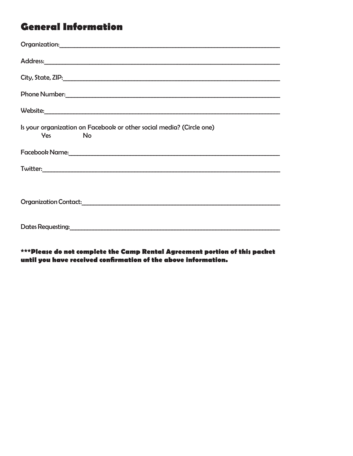## **General Information**

| Phone Number: North Communication of the Communication of the Communication of the Communication of the Communication of the Communication of the Communication of the Communication of the Communication of the Communication                                                                                           |
|--------------------------------------------------------------------------------------------------------------------------------------------------------------------------------------------------------------------------------------------------------------------------------------------------------------------------|
| Website: when the contract of the contract of the contract of the contract of the contract of the contract of the contract of the contract of the contract of the contract of the contract of the contract of the contract of                                                                                            |
| Is your organization on Facebook or other social media? (Circle one)<br><b>No</b><br><b>Yes</b> and the set of the set of the set of the set of the set of the set of the set of the set of the set of the set of the set of the set of the set of the set of the set of the set of the set of the set of the set of the |
| Facebook Name: 1988 and 2008 and 2008 and 2008 and 2008 and 2008 and 2008 and 2008 and 2008 and 2008 and 2008                                                                                                                                                                                                            |
|                                                                                                                                                                                                                                                                                                                          |
|                                                                                                                                                                                                                                                                                                                          |
|                                                                                                                                                                                                                                                                                                                          |
| Dates Requesting: <u>contact and a series of the series of the series of the series of the series of the series of the series of the series of the series of the series of the series of the series of the series of the series </u>                                                                                     |

\*\*\*Please do not complete the Camp Rental Agreement portion of this packet until you have received confirmation of the above information.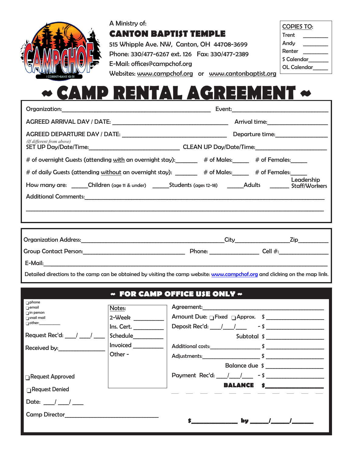

### A Ministry of: **CANTON BAPTIST TEMPLE**

515 Whipple Ave. NW, Canton, OH 44708-3699 Phone: 330/477-6267 ext. 126 Fax: 330/477-2389 E-Mail: offices@campchof.org

| <b>COPIES TO:</b> |  |  |
|-------------------|--|--|
| Trent             |  |  |
| Andy              |  |  |
| Renter            |  |  |
| S Calendar        |  |  |
| OL Calendar       |  |  |

Websites: www.campchof.org or www.cantonbaptist.org

# **~ CAMP RENTAL AGREEMENT ~**

| (If different from above)                                                                                                                                                                                                                          | Departure time:__________________ |  |  |
|----------------------------------------------------------------------------------------------------------------------------------------------------------------------------------------------------------------------------------------------------|-----------------------------------|--|--|
| # of overnight Guests (attending with an overnight stay): 4 tof Males: 4 tof Females:                                                                                                                                                              |                                   |  |  |
| # of daily Guests (attending without an overnight stay): _______ # of Males:_____ # of Females:____<br>How many are: ______Children (age 11 & under) ________Students (ages 12-18) ________Adults __________ Staff/Workers<br>Additional Comments: | Leadership                        |  |  |
|                                                                                                                                                                                                                                                    |                                   |  |  |
|                                                                                                                                                                                                                                                    |                                   |  |  |
|                                                                                                                                                                                                                                                    |                                   |  |  |

Detailed directions to the camp can be obtained by visiting the camp website: www.campchof.org and clicking on the map link.

### **~ FOR CAMP OFFICE USE ONLY ~**

| phone                                |            |                              |                                                                                                                                                                                                                                                                                                                                                                                                                   |
|--------------------------------------|------------|------------------------------|-------------------------------------------------------------------------------------------------------------------------------------------------------------------------------------------------------------------------------------------------------------------------------------------------------------------------------------------------------------------------------------------------------------------|
| $\sqcap$ email                       | Notes:     |                              |                                                                                                                                                                                                                                                                                                                                                                                                                   |
| $\Box$ in person<br><b>nail mail</b> | 2-Week     | Amount Due: Fixed Approx. \$ |                                                                                                                                                                                                                                                                                                                                                                                                                   |
| $\Box$ other:                        | Ins. Cert. | Deposit Rec'd: $1 / 1 - 5$   |                                                                                                                                                                                                                                                                                                                                                                                                                   |
| Request Rec'd: /                     | Schedule   |                              | Subtotal \$ ___________________                                                                                                                                                                                                                                                                                                                                                                                   |
| Received by:                         | Invoiced   | Additional costs: \$         |                                                                                                                                                                                                                                                                                                                                                                                                                   |
|                                      | Other -    | Adjustments: \$              |                                                                                                                                                                                                                                                                                                                                                                                                                   |
|                                      |            |                              | Balance due \$                                                                                                                                                                                                                                                                                                                                                                                                    |
| $\Box$ Request Approved              |            | Payment Rec'd: / / / - \$    |                                                                                                                                                                                                                                                                                                                                                                                                                   |
| <b>□ Request Denied</b>              |            | <b>BALANCE</b>               |                                                                                                                                                                                                                                                                                                                                                                                                                   |
| Date: $\frac{1}{\sqrt{2}}$           |            |                              |                                                                                                                                                                                                                                                                                                                                                                                                                   |
| <b>Camp Director</b>                 |            |                              |                                                                                                                                                                                                                                                                                                                                                                                                                   |
|                                      |            |                              | by $\frac{1}{\sqrt{1-\frac{1}{2}}}\frac{1}{\sqrt{1-\frac{1}{2}}\sqrt{1-\frac{1}{2}}\sqrt{1-\frac{1}{2}}\sqrt{1-\frac{1}{2}}\sqrt{1-\frac{1}{2}}\sqrt{1-\frac{1}{2}}\sqrt{1-\frac{1}{2}}\sqrt{1-\frac{1}{2}}\sqrt{1-\frac{1}{2}}\sqrt{1-\frac{1}{2}}\sqrt{1-\frac{1}{2}}\sqrt{1-\frac{1}{2}}\sqrt{1-\frac{1}{2}}\sqrt{1-\frac{1}{2}}\sqrt{1-\frac{1}{2}}\sqrt{1-\frac{1}{2}}\sqrt{1-\frac{1}{2}}\sqrt{1-\frac{1}{$ |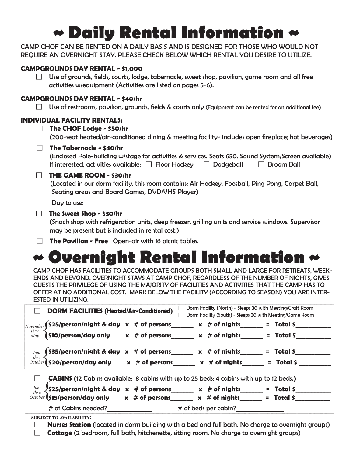# **~ Daily Rental Information ~**

CAMP CHOF CAN BE RENTED ON A DAILY BASIS AND IS DESIGNED FOR THOSE WHO WOULD NOT REQUIRE AN OVERNIGHT STAY. PLEASE CHECK BELOW WHICH RENTAL YOU DESIRE TO UTILIZE.

#### **CAMPGROUNDS DAY RENTAL - \$1,000**

 $\Box$  Use of grounds, fields, courts, lodge, tabernacle, sweet shop, pavilion, game room and all free activities w/equipment (Activities are listed on pages 5-6).

#### **CAMPGROUNDS DAY RENTAL - \$40/hr**

 $\Box$  Use of restrooms, pavilion, grounds, fields & courts only (Equipment can be rented for an additional fee)

#### **INDIVIDUAL FACILITY RENTALS:**

| $\Box$ The CHOF Lodge - \$50/hr                                                                     |
|-----------------------------------------------------------------------------------------------------|
| (200-seat heated/air-conditioned dining & meeting facility- includes open fireplace; hot beverages) |
| The Tabernacle - \$40/hr                                                                            |

| (Enclosed Pole-building w/stage for activities & services. Seats 650. Sound System/Screen available) |                  |              |
|------------------------------------------------------------------------------------------------------|------------------|--------------|
| If interested, activities available: $\Box$ Floor Hockey                                             | $\Box$ Dodgeball | □ Broom Ball |

#### **THE GAME ROOM - \$30/hr**

(Located in our dorm facility, this room contains: Air Hockey, Foosball, Ping Pong, Carpet Ball, Seating areas and Board Games, DVD/VHS Player)

| Day to use: |  |
|-------------|--|
|-------------|--|

#### **The Sweet Shop - \$30/hr**

(Snack shop with refrigeration units, deep freezer, grilling units and service windows. Supervisor may be present but is included in rental cost.)

**The Pavilion - Free** Open-air with 16 picnic tables.

# **~ Overnight Rental Information ~**

CAMP CHOF HAS FACILITIES TO ACCOMMODATE GROUPS BOTH SMALL AND LARGE FOR RETREATS, WEEK-ENDS AND BEYOND. OVERNIGHT STAYS AT CAMP CHOF, REGARDLESS OF THE NUMBER OF NIGHTS, GIVES GUESTS THE PRIVILEGE OF USING THE MAJORITY OF FACILITIES AND ACTIVITIES THAT THE CAMP HAS TO OFFER AT NO ADDITIONAL COST. MARK BELOW THE FACILITY (ACCORDING TO SEASON) YOU ARE INTER-ESTED IN UTILIZING.

| Dorm Facility (North) - Sleeps 30 with Meeting/Craft Room<br><b>DORM FACILITIES (Heated/Air-Conditioned)</b><br>Dorm Facility (South) - Sleeps 30 with Meeting/Game Room |                                                                                                                                                                                                          |                              |  |  |
|--------------------------------------------------------------------------------------------------------------------------------------------------------------------------|----------------------------------------------------------------------------------------------------------------------------------------------------------------------------------------------------------|------------------------------|--|--|
| $\mid_{\mathit{November}}$ (\$25/person/night & day $\,$ x $\,$ # of persons_<br>thru<br>May                                                                             | $x \#$ of nights<br>$\int$ \$10/person/day only $x \neq 0$ persons $x \neq 0$ of nights                                                                                                                  | $=$ Total \$<br>$=$ Total \$ |  |  |
| June<br>thru                                                                                                                                                             | $$35/person/night & day & x # of persons$ x # of westerman x # of nights<br>October 520/person/day only x # of persons x # of nights                                                                     | $=$ Total \$<br>$=$ Total \$ |  |  |
|                                                                                                                                                                          | <b>CABINS</b> (12 Cabins available: 8 cabins with up to 25 beds; 4 cabins with up to 12 beds.)                                                                                                           |                              |  |  |
| June<br>thru<br># of Cabins needed?                                                                                                                                      | $\frac{1}{2}$ \$25/person/night & day $\,$ x $\,$ # of persons______ x $\,$ # of nights______<br>$\frac{October}{15}{person/day}$ only x # of persons x # of nights = Total \$<br>$#$ of beds per cabin? | $=$ Total \$                 |  |  |

**subject to availability:**

- **Nurses Station** (located in dorm building with a bed and full bath. No charge to overnight groups)
- **Cottage** (2 bedroom, full bath, kitchenette, sitting room. No charge to overnight groups)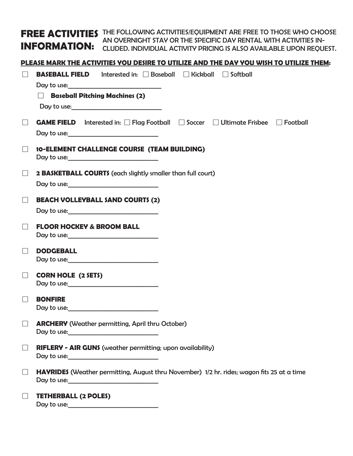**FREE ACTIVITIES** THE FOLLOWING ACTIVITIES/EQUIPMENT ARE FREE TO THOSE WHO CHOOSE **INFORMATION:**  AN OVERNIGHT STAY OR THE SPECIFIC DAY RENTAL WITH ACTIVITIES IN-CLUDED. INDIVIDUAL ACTIVITY PRICING IS ALSO AVAILABLE UPON REQUEST.

#### **PLEASE MARK THE ACTIVITIES YOU DESIRE TO UTILIZE AND THE DAY YOU WISH TO UTILIZE THEM:**

| $\perp$           | <b>BASEBALL FIELD</b> Interested in: □ Baseball □ Kickball □ Softball                             |
|-------------------|---------------------------------------------------------------------------------------------------|
|                   | <b>Baseball Pitching Machines (2)</b><br>$\Box$                                                   |
| $\Box$            | GAME FIELD Interested in: □ Flag Football □ Soccer □ Ultimate Frisbee □ Football                  |
|                   | 10-ELEMENT CHALLENGE COURSE (TEAM BUILDING)<br>Day to use:                                        |
| $\Box$            | 2 BASKETBALL COURTS (each slightly smaller than full court)                                       |
| $\Box$            | <b>BEACH VOLLEYBALL SAND COURTS (2)</b>                                                           |
| $\perp$           | <b>FLOOR HOCKEY &amp; BROOM BALL</b><br>Day to use:                                               |
|                   | <b>DODGEBALL</b>                                                                                  |
| $\Box$            | <b>CORN HOLE (2 SETS)</b>                                                                         |
|                   | <b>BONFIRE</b>                                                                                    |
|                   | <b>ARCHERY</b> (Weather permitting, April thru October)<br>Day to use:                            |
| $\Box$            | <b>RIFLERY - AIR GUNS</b> (weather permitting; upon availability)                                 |
| $\Box$            | <b>HAYRIDES</b> (Weather permitting, August thru November) 1/2 hr. rides; wagon fits 25 at a time |
| $\vert \ \ \vert$ | <b>TETHERBALL (2 POLES)</b>                                                                       |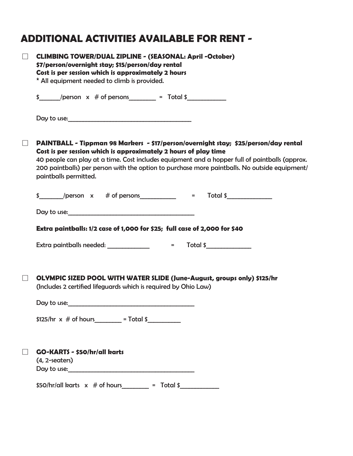## **ADDITIONAL ACTIVITIES AVAILABLE FOR RENT -**

| <b>CLIMBING TOWER/DUAL ZIPLINE - (SEASONAL: April -October)</b><br>\$7/person/overnight stay; \$15/person/day rental<br>Cost is per session which is approximately 2 hours<br>* All equipment needed to climb is provided.                                                                                                                                                         |  |  |  |  |
|------------------------------------------------------------------------------------------------------------------------------------------------------------------------------------------------------------------------------------------------------------------------------------------------------------------------------------------------------------------------------------|--|--|--|--|
| $\frac{1}{2}$ /person x # of persons = Total \$                                                                                                                                                                                                                                                                                                                                    |  |  |  |  |
| Day to use: <u>contained</u> and the contained and the contact of the contact of the contact of the contact of the contact of the contact of the contact of the contact of the contact of the contact of the contact of the contact                                                                                                                                                |  |  |  |  |
| PAINTBALL - Tippman 98 Markers - \$17/person/overnight stay; \$25/person/day rental<br>Cost is per session which is approximately 2 hours of play time<br>40 people can play at a time. Cost includes equipment and a hopper full of paintballs (approx.<br>200 paintballs) per person with the option to purchase more paintballs. No outside equipment/<br>paintballs permitted. |  |  |  |  |
| $\frac{1}{2}$ /person x # of persons = Total \$                                                                                                                                                                                                                                                                                                                                    |  |  |  |  |
| Day to use: the contract of the contract of the contract of the contract of the contract of the contract of the contract of the contract of the contract of the contract of the contract of the contract of the contract of th                                                                                                                                                     |  |  |  |  |
| Extra paintballs: 1/2 case of 1,000 for \$25; full case of 2,000 for \$40                                                                                                                                                                                                                                                                                                          |  |  |  |  |
|                                                                                                                                                                                                                                                                                                                                                                                    |  |  |  |  |
| OLYMPIC SIZED POOL WITH WATER SLIDE (June-August, groups only) \$125/hr<br>(Includes 2 certified lifeguards which is required by Ohio Law)                                                                                                                                                                                                                                         |  |  |  |  |
| Day to use:                                                                                                                                                                                                                                                                                                                                                                        |  |  |  |  |
| $$125/hr \times # of hours$ = Total \$                                                                                                                                                                                                                                                                                                                                             |  |  |  |  |
| <b>GO-KARTS - \$50/hr/all karts</b><br>$(4, 2$ -seaters)                                                                                                                                                                                                                                                                                                                           |  |  |  |  |
| $$50/hr$ /all karts x # of hours = Total \$                                                                                                                                                                                                                                                                                                                                        |  |  |  |  |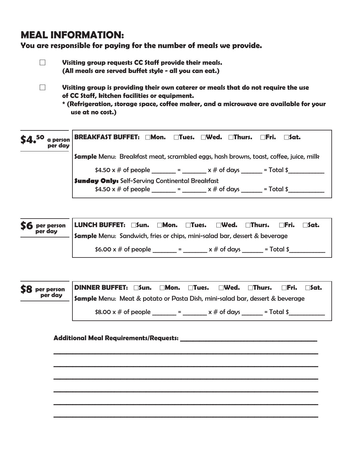## **MEAL INFORMATION:**

**You are responsible for paying for the number of meals we provide.**

 **Visiting group requests CC Staff provide their meals. (All meals are served buffet style - all you can eat.)**

- **Visiting group is providing their own caterer or meals that do not require the use of CC Staff, kitchen facilities or equipment.** 
	- **\* (Refrigeration, storage space, coffee maker, and a microwave are available for your use at no cost.)**

| per dav | \$4. <sup>50</sup> a person   BREAKFAST BUFFET: □Mon. □Tues. □Wed. □Thurs. □Fri. □Sat. |
|---------|----------------------------------------------------------------------------------------|
|         | Sample Menu: Breakfast meat, scrambled eggs, hash browns, toast, coffee, juice, milk   |
|         | \$4.50 x # of people ______ = ______ x # of days _____ = Total \$                      |
|         | <b>Sunday Only:</b> Self-Serving Continental Breakfast                                 |
|         | \$4.50 x # of people $\_\_\_\_\ = \_\_\_\ x \#$ of days $\_\_\_\_\_\$ = Total \$       |

| S6 per person | LUNCH BUFFET: $\square$ Sun. $\square$ Mon. $\square$ Tues. $\square$ Wed. $\square$ Thurs.<br>$\Box$ Fri.<br>$\sqcap$ Sat. |
|---------------|-----------------------------------------------------------------------------------------------------------------------------|
| per day       | <b>Sample</b> Menu: Sandwich, fries or chips, mini-salad bar, dessert & beverage                                            |
|               | \$6.00 $\times$ # of people<br>$x \#$ of days<br>$=$ Total \$<br><b>Service</b> Service                                     |



**\_\_\_\_\_\_\_\_\_\_\_\_\_\_\_\_\_\_\_\_\_\_\_\_\_\_\_\_\_\_\_\_\_\_\_\_\_\_\_\_\_\_\_\_\_\_\_\_\_\_\_\_\_\_\_\_\_\_\_\_\_\_\_\_\_\_\_\_\_\_\_\_\_\_\_\_\_\_\_\_\_\_\_**

**\_\_\_\_\_\_\_\_\_\_\_\_\_\_\_\_\_\_\_\_\_\_\_\_\_\_\_\_\_\_\_\_\_\_\_\_\_\_\_\_\_\_\_\_\_\_\_\_\_\_\_\_\_\_\_\_\_\_\_\_\_\_\_\_\_\_\_\_\_\_\_\_\_\_\_\_\_\_\_\_\_\_\_**

**\_\_\_\_\_\_\_\_\_\_\_\_\_\_\_\_\_\_\_\_\_\_\_\_\_\_\_\_\_\_\_\_\_\_\_\_\_\_\_\_\_\_\_\_\_\_\_\_\_\_\_\_\_\_\_\_\_\_\_\_\_\_\_\_\_\_\_\_\_\_\_\_\_\_\_\_\_\_\_\_\_\_\_**

**\_\_\_\_\_\_\_\_\_\_\_\_\_\_\_\_\_\_\_\_\_\_\_\_\_\_\_\_\_\_\_\_\_\_\_\_\_\_\_\_\_\_\_\_\_\_\_\_\_\_\_\_\_\_\_\_\_\_\_\_\_\_\_\_\_\_\_\_\_\_\_\_\_\_\_\_\_\_\_\_\_\_\_**

**\_\_\_\_\_\_\_\_\_\_\_\_\_\_\_\_\_\_\_\_\_\_\_\_\_\_\_\_\_\_\_\_\_\_\_\_\_\_\_\_\_\_\_\_\_\_\_\_\_\_\_\_\_\_\_\_\_\_\_\_\_\_\_\_\_\_\_\_\_\_\_\_\_\_\_\_\_\_\_\_\_\_\_**

**\_\_\_\_\_\_\_\_\_\_\_\_\_\_\_\_\_\_\_\_\_\_\_\_\_\_\_\_\_\_\_\_\_\_\_\_\_\_\_\_\_\_\_\_\_\_\_\_\_\_\_\_\_\_\_\_\_\_\_\_\_\_\_\_\_\_\_\_\_\_\_\_\_\_\_\_\_\_\_\_\_\_\_**

#### **Additional Meal Requirements/Requests: \_\_\_\_\_\_\_\_\_\_\_\_\_\_\_\_\_\_\_\_\_\_\_\_\_\_\_\_\_\_\_\_\_\_\_\_\_\_\_\_\_\_\_**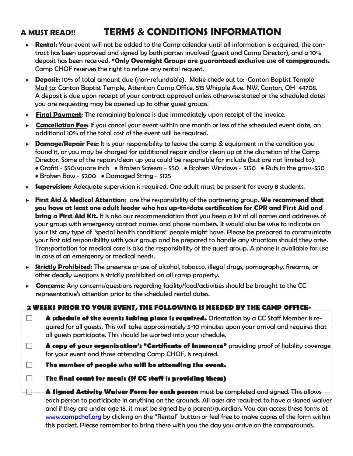## **A MUST READ!! TERMS & CONDITIONS INFORMATION**

- **Rental:** Your event will not be added to the Camp calendar until all information is acquired, the contract has been approved and signed by both parties involved (guest and Camp Director), and a 10% deposit has been received. **\*Only Overnight Groups are guaranteed exclusive use of campgrounds.**  Camp CHOF reserves the right to refuse any rental request.
- ▶ **Deposit:** 10% of total amount due (non-refundable). Make check out to: Canton Baptist Temple Mail to: Canton Baptist Temple, Attention Camp Office, 515 Whipple Ave. NW, Canton, OH 44708. A deposit is due upon receipt of your contract approval unless otherwise stated or the scheduled dates you are requesting may be opened up to other guest groups.
- **Final Payment**: The remaining balance is due immediately upon receipt of the invoice.
- **Cancellation Fee:** If you cancel your event within one month or less of the scheduled event date, an additional 10% of the total cost of the event will be required.
- **► Damage/Repair Fee:** It is your responsibility to leave the camp & equipment in the condition you found it, or you may be charged for additional repair and/or clean up at the discretion of the Camp Director. Some of the repairs/clean up you could be responsible for include (but are not limited to): • Grafiti - \$50/square inch • Broken Screens - \$50 • Broken Windows - \$150 • Ruts in the grass-\$50 • Broken Bow - \$200 • Damaged String - \$125
- **Supervision:** Adequate supervision is required. One adult must be present for every 8 students.
- **First Aid & Medical Attention:** are the responsibility of the partnering group. **We recommend that you have at least one adult leader who has up-to-date certification for CPR and First Aid and bring a First Aid Kit.** It is also our recommendation that you keep a list of all names and addresses of your group with emergency contact names and phone numbers. It would also be wise to indicate on your list any type of "special health conditions" people might have. Please be prepared to communicate your first aid responsibility with your group and be prepared to handle any situations should they arise. Transportation for medical care is also the responsibility of the guest group. A phone is available for use in case of an emergency or medical needs.
- **Strictly Prohibited:** The presence or use of alcohol, tobacco, illegal drugs, pornography, firearms, or other deadly weapons is strictly prohibited on all camp property.
- ► Concerns: Any concerns/questions regarding facility/food/activities should be brought to the CC representative's attention prior to the scheduled rental dates.

### **2 WEEKS PRIOR TO YOUR EVENT, THE FOLLOWING IS NEEDED BY THE CAMP OFFICE-**

- **A schedule of the events taking place is required.** Orientation by a CC Staff Member is required for all guests. This will take approximately 5-10 minutes upon your arrival and requires that all guests participate. This should be worked into your schedule.
- **A copy of your organization's "Certificate of Insurance"** providing proof of liability coverage for your event and those attending Camp CHOF, is required.

**The number of people who will be attending the event.**

**The final count for meals (if CC staff is providing them)**

 **A Signed Activity Waiver Form for each person** must be completed and signed. This allows each person to participate in anything on the grounds. All ages are required to have a signed waiver and if they are under age 18, it must be signed by a parent/guardian. You can access these forms at www.campchof.org by clicking on the "Rental" button or feel free to make copies of the form within this packet. Please remember to bring these with you the day you arrive on the campgrounds.